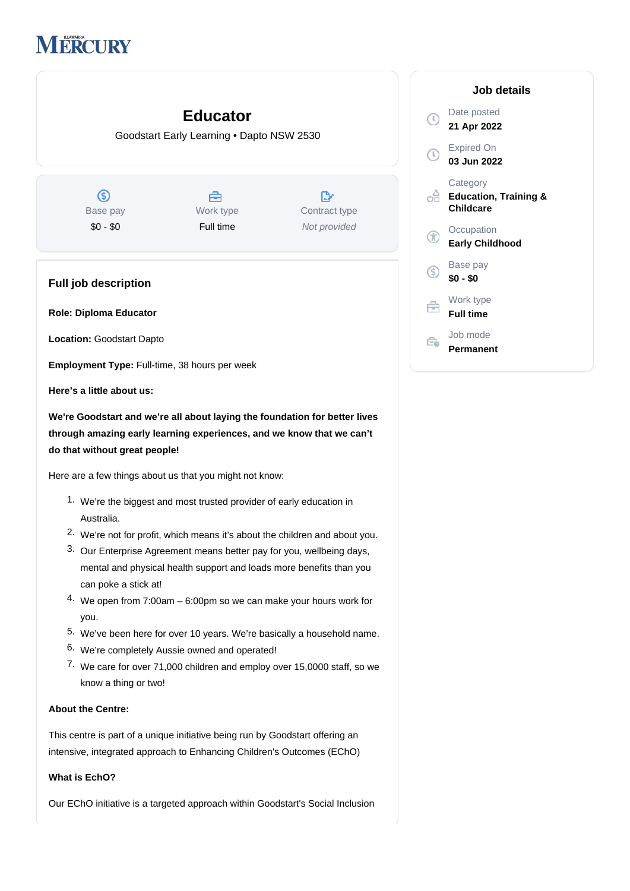# **IERCURY**

## **Educator**

Goodstart Early Learning • Dapto NSW 2530

 $\circledS$ Base pay \$0 - \$0

Å Work type Full time

 $\mathbb{R}^n$ Contract type Not provided

### **Full job description**

**Role: Diploma Educator**

**Location:** Goodstart Dapto

**Employment Type:** Full-time, 38 hours per week

**Here's a little about us:**

**We're Goodstart and we're all about laying the foundation for better lives through amazing early learning experiences, and we know that we can't do that without great people!**

Here are a few things about us that you might not know:

- 1. We're the biggest and most trusted provider of early education in Australia.
- 2. We're not for profit, which means it's about the children and about you.
- 3. Our Enterprise Agreement means better pay for you, wellbeing days, mental and physical health support and loads more benefits than you can poke a stick at!
- 4. We open from 7:00am 6:00pm so we can make your hours work for you.
- 5. We've been here for over 10 years. We're basically a household name.
- 6. We're completely Aussie owned and operated!
- 7. We care for over 71,000 children and employ over 15,0000 staff, so we know a thing or two!

#### **About the Centre:**

This centre is part of a unique initiative being run by Goodstart offering an intensive, integrated approach to Enhancing Children's Outcomes (EChO)

#### **What is EchO?**

Our EChO initiative is a targeted approach within Goodstart's Social Inclusion

| Job details                                               |
|-----------------------------------------------------------|
| Date posted<br>21 Apr 2022                                |
| Expired On<br>03 Jun 2022                                 |
| Category<br><b>Education, Training &amp;</b><br>Childcare |
| Occupation<br><b>Early Childhood</b>                      |
| Base pay<br>\$0 - \$0                                     |
| Work type<br><b>Full time</b>                             |
| Job mode<br>Permanent                                     |

 $\mathbb O$ 

 $\odot$ 

ക്

 $\circledR$ 

 $\circledS$ 

白

Ê.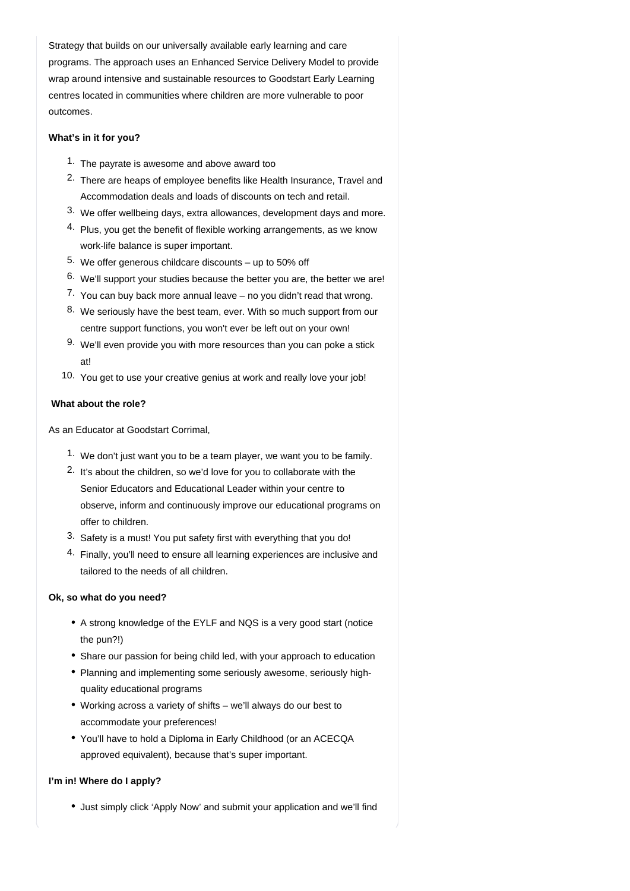Strategy that builds on our universally available early learning and care programs. The approach uses an Enhanced Service Delivery Model to provide wrap around intensive and sustainable resources to Goodstart Early Learning centres located in communities where children are more vulnerable to poor outcomes.

#### **What's in it for you?**

- 1. The payrate is awesome and above award too
- 2. There are heaps of employee benefits like Health Insurance, Travel and Accommodation deals and loads of discounts on tech and retail.
- 3. We offer wellbeing days, extra allowances, development days and more.
- 4. Plus, you get the benefit of flexible working arrangements, as we know work-life balance is super important.
- 5. We offer generous childcare discounts up to 50% off
- 6. We'll support your studies because the better you are, the better we are!
- 7. You can buy back more annual leave no you didn't read that wrong.
- 8. We seriously have the best team, ever. With so much support from our centre support functions, you won't ever be left out on your own!
- 9. We'll even provide you with more resources than you can poke a stick at!
- 10. You get to use your creative genius at work and really love your job!

#### **What about the role?**

As an Educator at Goodstart Corrimal,

- 1. We don't just want you to be a team player, we want you to be family.
- 2. It's about the children, so we'd love for you to collaborate with the Senior Educators and Educational Leader within your centre to observe, inform and continuously improve our educational programs on offer to children.
- 3. Safety is a must! You put safety first with everything that you do!
- 4. Finally, you'll need to ensure all learning experiences are inclusive and tailored to the needs of all children.

#### **Ok, so what do you need?**

- A strong knowledge of the EYLF and NQS is a very good start (notice the pun?!)
- Share our passion for being child led, with your approach to education
- Planning and implementing some seriously awesome, seriously highquality educational programs
- Working across a variety of shifts we'll always do our best to accommodate your preferences!
- You'll have to hold a Diploma in Early Childhood (or an ACECQA approved equivalent), because that's super important.

#### **I'm in! Where do I apply?**

• Just simply click 'Apply Now' and submit your application and we'll find